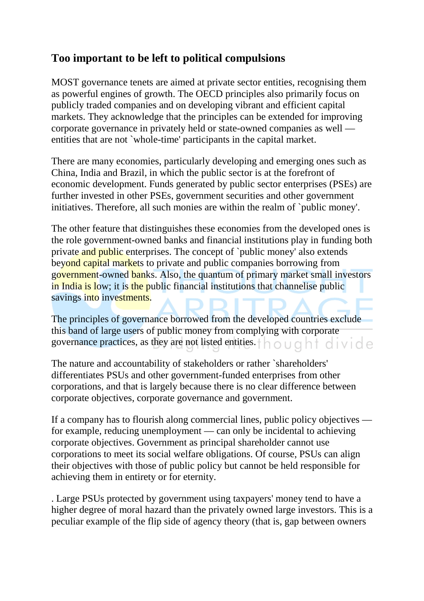## **Too important to be left to political compulsions**

MOST governance tenets are aimed at private sector entities, recognising them as powerful engines of growth. The OECD principles also primarily focus on publicly traded companies and on developing vibrant and efficient capital markets. They acknowledge that the principles can be extended for improving corporate governance in privately held or state-owned companies as well entities that are not `whole-time' participants in the capital market.

There are many economies, particularly developing and emerging ones such as China, India and Brazil, in which the public sector is at the forefront of economic development. Funds generated by public sector enterprises (PSEs) are further invested in other PSEs, government securities and other government initiatives. Therefore, all such monies are within the realm of `public money'.

The other feature that distinguishes these economies from the developed ones is the role government-owned banks and financial institutions play in funding both private and public enterprises. The concept of `public money' also extends beyond capital markets to private and public companies borrowing from government-owned banks. Also, the quantum of primary market small investors in India is low; it is the public financial institutions that channelise public savings into investments.

The principles of governance borrowed from the developed countries exclude this band of large users of public money from complying with corporate governance practices, as they are not listed entities.  $\dagger \wedge \circ \cup \circ \wedge \dagger \circ \wedge \circ \circ \circ$ 

The nature and accountability of stakeholders or rather `shareholders' differentiates PSUs and other government-funded enterprises from other corporations, and that is largely because there is no clear difference between corporate objectives, corporate governance and government.

If a company has to flourish along commercial lines, public policy objectives for example, reducing unemployment — can only be incidental to achieving corporate objectives. Government as principal shareholder cannot use corporations to meet its social welfare obligations. Of course, PSUs can align their objectives with those of public policy but cannot be held responsible for achieving them in entirety or for eternity.

. Large PSUs protected by government using taxpayers' money tend to have a higher degree of moral hazard than the privately owned large investors. This is a peculiar example of the flip side of agency theory (that is, gap between owners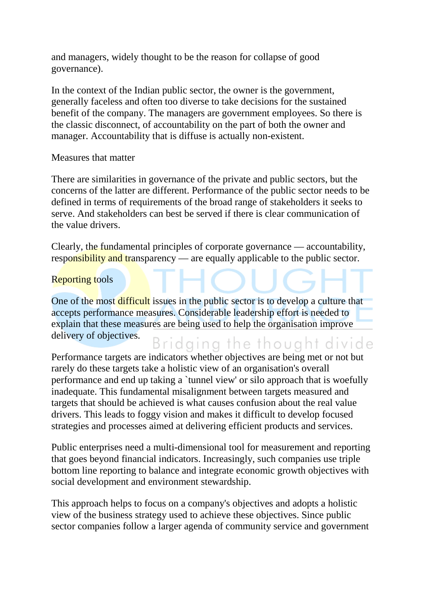and managers, widely thought to be the reason for collapse of good governance).

In the context of the Indian public sector, the owner is the government, generally faceless and often too diverse to take decisions for the sustained benefit of the company. The managers are government employees. So there is the classic disconnect, of accountability on the part of both the owner and manager. Accountability that is diffuse is actually non-existent.

Measures that matter

There are similarities in governance of the private and public sectors, but the concerns of the latter are different. Performance of the public sector needs to be defined in terms of requirements of the broad range of stakeholders it seeks to serve. And stakeholders can best be served if there is clear communication of the value drivers.

Clearly, the fundamental principles of corporate governance — accountability, responsibility and transparency — are equally applicable to the public sector.

## Reporting tools

One of the most difficult issues in the public sector is to develop a culture that accepts performance measures. Considerable leadership effort is needed to explain that these measures are being used to help the organisation improve delivery of objectives. Bridging the thought divide

Performance targets are indicators whether objectives are being met or not but rarely do these targets take a holistic view of an organisation's overall performance and end up taking a `tunnel view' or silo approach that is woefully inadequate. This fundamental misalignment between targets measured and targets that should be achieved is what causes confusion about the real value drivers. This leads to foggy vision and makes it difficult to develop focused strategies and processes aimed at delivering efficient products and services.

Public enterprises need a multi-dimensional tool for measurement and reporting that goes beyond financial indicators. Increasingly, such companies use triple bottom line reporting to balance and integrate economic growth objectives with social development and environment stewardship.

This approach helps to focus on a company's objectives and adopts a holistic view of the business strategy used to achieve these objectives. Since public sector companies follow a larger agenda of community service and government